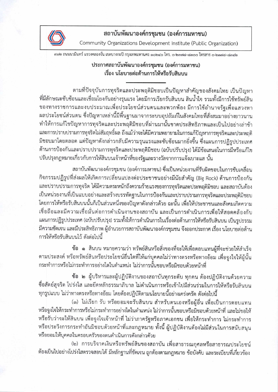

## สถาบันพัฒนาองค์กรชุมชน (องค์การมหาชน)

Community Organizations Development Institute (Public Organization)

สด๒ ถนนนวมินทร์ แขวงคลองจั่น เขตบางกะปิ กรุงเทพมหานคร ด๐๒๔๐ โทร. ๐-๒๓๗๘–๘๓๐๐ โทรสาร ๐-๒๓๗๘–๘๓๔๒

## ประกาศสถาบันพัฒนาองค์กรชุมชน (องค์การมหาชน) เรื่อง นโยบายต่อต้านการให้หรือรับสินบน

ตามที่ปัจจุบันการทุจริตและประพฤติมิชอบเป็นปัญหาสำคัญของสังคมไทย เป็นปัญหา ที่มีลักษณะซับซ้อนและเชื่อมโยงกันอย่างรุนแรง โดยมีการเรียกรับสินบน สินน้ำใจ รวมทั้งมีการใช้ทรัพย์สิน ของทางราชการและงบประมาณเพื่อประโยชน์ส่วนตนและพวกพ้อง มีการใช้อำนาจรัฐเพื่อแสวงหา ผลประโยชน์ส่วนตน ซึ่งปัญหาเหล่านี้มีพื้นฐานมาจากระบบอุปถัมภ์ในสังคมไทยที่สั่งสมมาอย่างยาวนาน ทำให้การแก้ไขปัญหาการทุจริตและประพฤติมิชอบที่ผ่านมานั้นขาดประสิทธิภาพและเป็นไปอย่างล่าช้า และการปราบปรามการทุจริตไม่สัมฤทธิ์ผล ถึงแม้ว่าจะได้มีความพยายามในการแก้ปัญหาการทุจริตและประพฤติ มิชอบมาโดยตลอด แต่ปัญหาดังกล่าวกลับมีความรุนแรงและชับซ้อนมากยิ่งขึ้น ซึ่งแผนการปฏิรูปประเทศ ด้านการป้องกันและปราบปรามการทุจริตและประพฤติมิชอบ (ฉบับปรับปรุง) ได้มีข้อเสนอในการมีหรือแก้ไข ปรับปรุงกฎหมายเกี่ยวกับการให้สินบนเจ้าหน้าที่ของรัฐและรางวัลจากการแจ้งเบาะแส นั้น

สถาบันพัฒนาองค์กรชุมชน (องค์การมหาชน) ซึ่งเป็นหน่วยงานที่รับผิดชอบในการขับเคลื่อน กิจกรรมปฏิรูปที่ส่งผลให้เกิดการเปลี่ยนแปลงต่อประชาชนอย่างมีนัยสำคัญ (Big Rock) ด้านการป้องกัน และปราบปรามการทุจริต ได้มีความตระหนักถึงความร้ายแรงของการทุจริตและประพฤติมิชอบ และสถาบันต้อง เป็นหน่วยงานที่เป็นแบบอย่างและสร้างบรรทัดฐานในการป้องกันและปราบปรามการทุจริตและประพฤติมิชอบ โดยการให้หรือรับสินบนนั้นก็เป็นส่วนหนึ่งของปัญหาดังกล่าวด้วย ฉะนั้น เพื่อให้ประชาชนและสังคมเกิดความ เชื่อถือและมีความเชื่อมั่นต่อการดำเนินงานของสถาบัน และเป็นการดำเนินการเพื่อให้สอดคล้องกับ แผนการปฏิรูปประเทศ (ฉบับปรับปรุง) รวมทั้งให้การดำเนินการในเรื่องต่อต้านการให้หรือรับสินบน เป็นรูปธรรม มีความชัดเจน และมีประสิทธิภาพ ผู้อำนวยการสถาบันพัฒนาองค์กรชุมชน จึงออกประกาศ เรื่อง นโยบายต่อต้าน การให้หรือรับสินบนไว้ ดังต่อไปนี้

ข้อ ๑ สินบน หมายความว่า ทรัพย์สินหรือสิ่งของที่จะให้เพื่อตอบแทนผู้ที่จะช่วยให้สำเร็จ ตามประสงค์ หรือทรัพย์สินหรือประโยชน์อื่นใดที่ให้แก่บุคคลไม่ว่าทางตรงหรือทางอ้อม เพื่อจูงใจให้ผู้นั้น กระทำการหรือไม่กระทำการอย่างใดในตำแหน่ง ไม่ว่าการนั้นชอบหรือมิชอบด้วยหน้าที่

ข้อ ๒ ผู้บริหารและผู้ปฏิบัติงานของสถาบันทุกระดับ ทุกคน ต้องปฏิบัติงานด้วยความ ชื่อสัตย์สุจริต โปร่งใส และยึดหลักธรรมาภิบาล ไม่ดำเนินการหรือเข้าไปมีส่วนร่วมในการให้หรือรับสินบน ทุกรูปแบบ ไม่ว่าทางตรงหรือทางอ้อม โดยต้องปฏิบัติตามนโยบายนี้อย่างเคร่งครัด ดังต่อไปนี้

(๑) ไม่เรียก รับ หรือยอมจะรับสินบน สำหรับตนเองหรือผู้อื่น เพื่อเป็นการตอบแทน หรือจูงใจให้กระทำการหรือไม่กระทำการอย่างใดในตำแหน่ง ไม่ว่าการนั้นชอบหรือมิชอบด้วยหน้าที่ และไม่ขอให้ หรือรับว่าจะให้สินบน เพื่อจูงใจเจ้าหน้าที่ ไม่ว่าภาครัฐหรือภาคเอกชน เพื่อให้กระทำการ ไม่กระทำการ หรือประวิงการกระทำอันมิชอบด้วยหน้าที่และกฎหมาย ทั้งนี้ ผู้ปฏิบัติงานต้องไม่มีส่วนในการสนับสนุน หรือยอมให้บุคคลในครอบครัวของตนดำเนินการดังกล่าวด้วย

(๒) การบริจาคเงินหรือทรัพย์สินของสถาบัน เพื่อสาธารณกุศลหรือสาธารณประโยชน์ ต้องเป็นไปอย่างโปร่งใสตรวจสอบได้ มีหลักฐานที่ชัดเจน ถูกต้องตามกฎหมาย ข้อบังคับ และระเบียบที่เกี่ยวข้อง